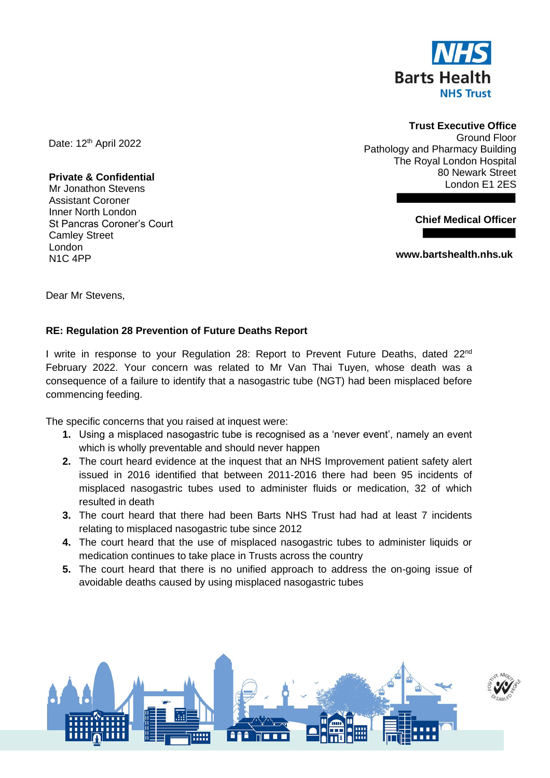

## **Trust Executive Office**

Ground Floor Pathology and Pharmacy Building The Royal London Hospital 80 Newark Street London E1 2ES

**Chief Medical Officer** 

**www.bartshealth.nhs.uk**

Date: 12<sup>th</sup> April 2022

**Private & Confidential** Mr Jonathon Stevens Assistant Coroner Inner North London St Pancras Coroner's Court Camley Street London N1C 4PP

Dear Mr Stevens,

## **RE: Regulation 28 Prevention of Future Deaths Report**

I write in response to your Regulation 28: Report to Prevent Future Deaths, dated 22<sup>nd</sup> February 2022. Your concern was related to Mr Van Thai Tuyen, whose death was a consequence of a failure to identify that a nasogastric tube (NGT) had been misplaced before commencing feeding.

The specific concerns that you raised at inquest were:

- **1.** Using a misplaced nasogastric tube is recognised as a 'never event', namely an event which is wholly preventable and should never happen
- **2.** The court heard evidence at the inquest that an NHS Improvement patient safety alert issued in 2016 identified that between 2011-2016 there had been 95 incidents of misplaced nasogastric tubes used to administer fluids or medication, 32 of which resulted in death
- **3.** The court heard that there had been Barts NHS Trust had had at least 7 incidents relating to misplaced nasogastric tube since 2012
- **4.** The court heard that the use of misplaced nasogastric tubes to administer liquids or medication continues to take place in Trusts across the country
- **5.** The court heard that there is no unified approach to address the on-going issue of avoidable deaths caused by using misplaced nasogastric tubes